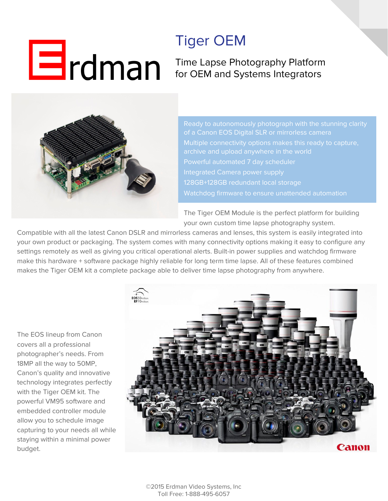## $\mathbf{H}$ rdman

## Tiger OEM

Time Lapse Photography Platform for OEM and Systems Integrators



Ready to autonomously photograph with the stunning clarity Multiple connectivity options makes this ready to capture, Integrated Camera power supply 128GB+128GB redundant local storage

The Tiger OEM Module is the perfect platform for building your own custom time lapse photography system.

Compatible with all the latest Canon DSLR and mirrorless cameras and lenses, this system is easily integrated into your own product or packaging. The system comes with many connectivity options making it easy to configure any settings remotely as well as giving you critical operational alerts. Built-in power supplies and watchdog firmware make this hardware + software package highly reliable for long term time lapse. All of these features combined makes the Tiger OEM kit a complete package able to deliver time lapse photography from anywhere.

The EOS lineup from Canon covers all a professional photographer's needs. From 18MP all the way to 50MP, Canon's quality and innovative technology integrates perfectly with the Tiger OEM kit. The powerful VM95 software and embedded controller module allow you to schedule image capturing to your needs all while staying within a minimal power budget.